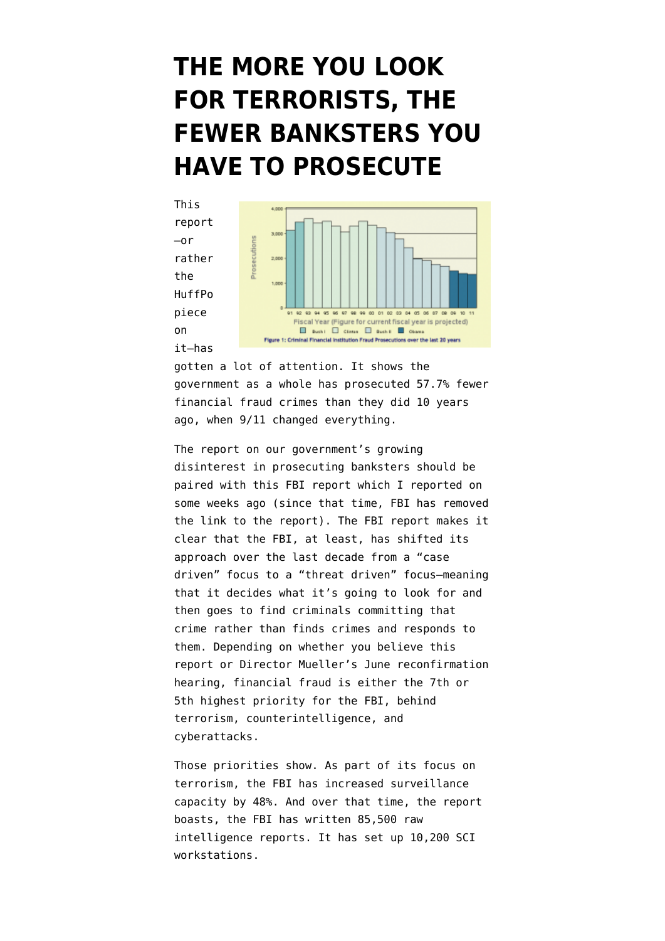## **[THE MORE YOU LOOK](https://www.emptywheel.net/2011/11/16/the-more-you-look-for-terrorists-the-fewer-banksters-you-have-to-prosecute/) [FOR TERRORISTS, THE](https://www.emptywheel.net/2011/11/16/the-more-you-look-for-terrorists-the-fewer-banksters-you-have-to-prosecute/) [FEWER BANKSTERS YOU](https://www.emptywheel.net/2011/11/16/the-more-you-look-for-terrorists-the-fewer-banksters-you-have-to-prosecute/) [HAVE TO PROSECUTE](https://www.emptywheel.net/2011/11/16/the-more-you-look-for-terrorists-the-fewer-banksters-you-have-to-prosecute/)**



gotten a lot of attention. It shows the government as a whole has prosecuted 57.7% fewer financial fraud crimes than they did 10 years ago, when 9/11 changed everything.

The report on our government's growing disinterest in prosecuting banksters should be paired with this [FBI report](http://www.emptywheel.net/2011/10/31/the-fbi-now-with-48-more-domestic-surveillance-but-no-banksters/www.emptywheel.net/wp-content/uploads/2011/10/111024-FBI-Decade-in-Numbers.pdf) which I [reported on](http://www.emptywheel.net/2011/10/31/the-fbi-now-with-48-more-domestic-surveillance-but-no-banksters/) some weeks ago (since that time, FBI has [removed](http://www.fbi.gov/about-us/ten-years-after-the-fbi-since-9-11/just-the-facts-1/the-fbi-a-decade-in-numbers/view) [the link to the report](http://www.fbi.gov/about-us/ten-years-after-the-fbi-since-9-11/just-the-facts-1/the-fbi-a-decade-in-numbers/view)). The FBI report makes it clear that the FBI, at least, has shifted its approach over the last decade from a "case driven" focus to a "threat driven" focus–meaning that it decides what it's going to look for and then goes to find criminals committing that crime rather than finds crimes and responds to them. Depending on whether you believe this report or Director Mueller's June reconfirmation hearing, financial fraud is either the 7th or 5th highest priority for the FBI, behind terrorism, counterintelligence, and cyberattacks.

Those priorities show. As part of its focus on terrorism, the FBI has increased surveillance capacity by 48%. And over that time, the report boasts, the FBI has written 85,500 raw intelligence reports. It has set up 10,200 SCI workstations.